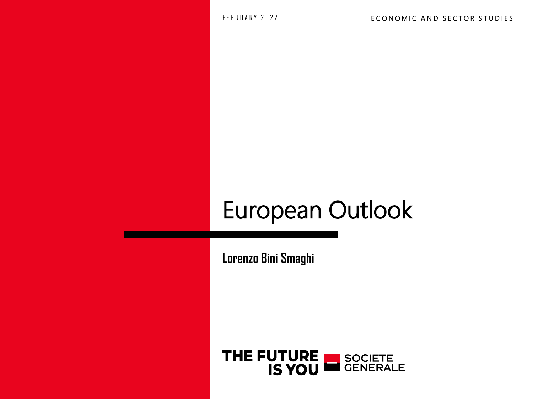FEBRUARY 2022

# European Outlook

**Lorenzo Bini Smaghi**

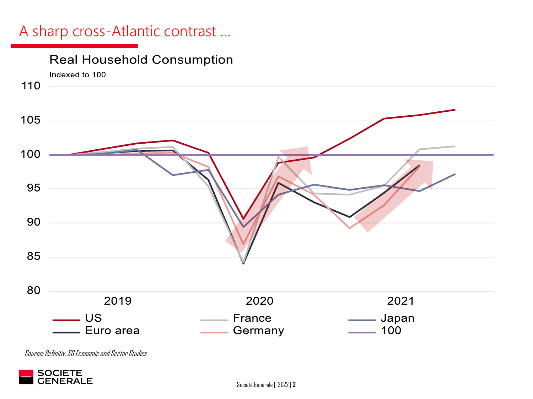#### A sharp cross-Atlantic contrast …



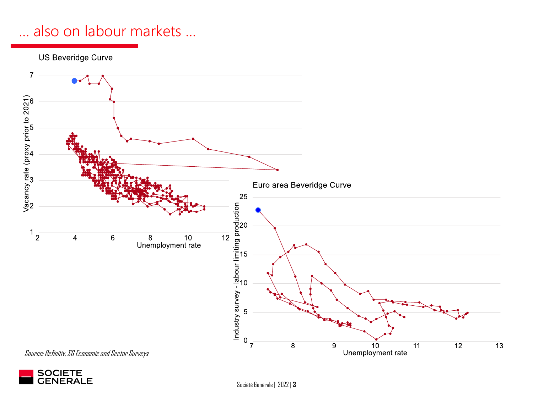# … also on labour markets …



Source: Refinitiv, SG Economic and Sector Surveys



Société Générale | 2022 | **3**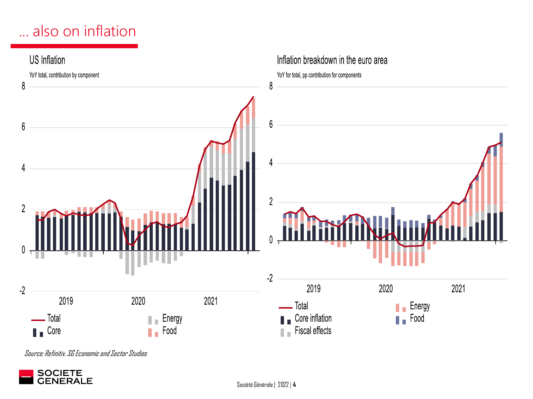# ... also on inflation



Source: Refinitiv, SG Economicand Sector Studies

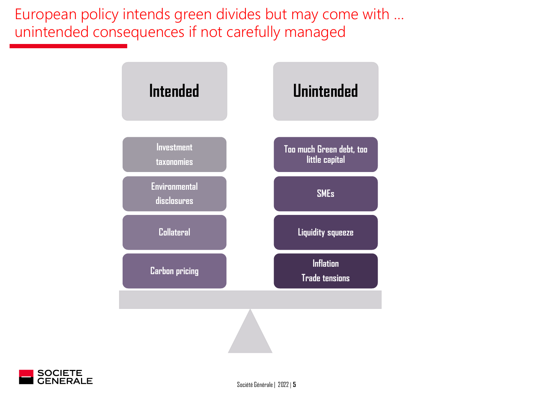European policy intends green divides but may come with … unintended consequences if not carefully managed





Société Générale | 2022 | **5**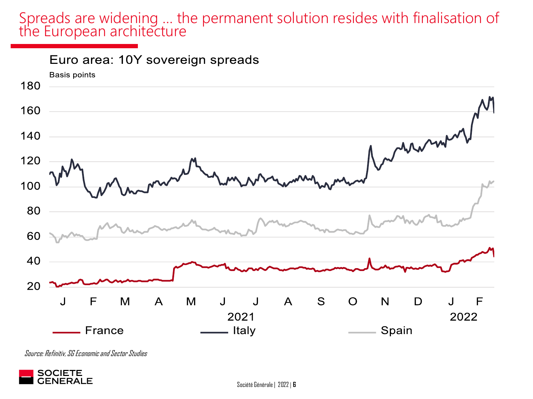#### Spreads are widening … the permanent solution resides with finalisation of the European architecture



Source: Refinitiv, SG Economicand Sector Studies



Société Générale | 2022 | **6**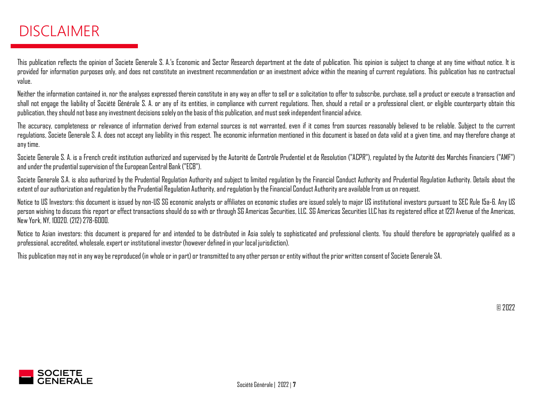### DISCLAIMER

This publication reflects the opinion of Societe Generale S. A.'s Economic and Sector Research department at the date of publication. This opinion is subject to change at any time without notice. It is provided for information purposes only, and does not constitute an investment recommendation or an investment advice within the meaning of current regulations. This publication has no contractual value.

Neither the information contained in, nor the analyses expressed therein constitute in any way an offer to sell or a solicitation to offer to subscribe, purchase, sell a product or execute a transaction and shall not engage the liability of Société Générale S. A. or any of its entities, in compliance with current regulations. Then, should a retail or a professional client, or eligible counterparty obtain this publication, they should not base any investment decisions solely on the basis of this publication, and must seek independent financial advice.

The accuracy, completeness or relevance of information derived from external sources is not warranted, even if it comes from sources reasonably believed to be reliable. Subject to the current regulations, Societe Generale S. A. does not accept any liability in this respect. The economic information mentioned in this document is based on data valid at a given time, and may therefore change at anytime.

Societe Generale S. A. is a French credit institution authorized and supervised by the Autorité de Contrôle Prudentiel et de Resolution ("ACPR"), regulated by the Autorité des Marchés Financiers ("AMF") and under the prudential supervision of the European Central Bank ("ECB").

Societe Generale S.A. is also authorized by the Prudential Regulation Authority and subject to limited regulation by the Financial Conduct Authority and Prudential Regulation Authority. Details about the extent of our authorization and regulation by the Prudential Regulation Authority, and regulation by the Financial Conduct Authority are available from us on request.

Notice to US Investors: this document is issued by non-US SG economic analysts or affiliates on economic studies are issued solely to major US institutional investors pursuant to SEC Rule 15a-6. Any US person wishing to discuss this report or effect transactions should do so with or through SG Americas Securities, LLC. SG Americas Securities LLC has its registered office at 1221 Avenue of the Americas, New York, NY, 10020. (212)278-6000.

Notice to Asian investors: this document is prepared for and intended to be distributed in Asia solely to sophisticated and professional clients. You should therefore be appropriately qualified as a professional, accredited, wholesale, expert or institutional investor (however defined in your local jurisdiction).

This publication may not in any way be reproduced (in whole or in part) or transmitted to any other person or entity without the prior written consent of Societe Generale SA.



© 2022